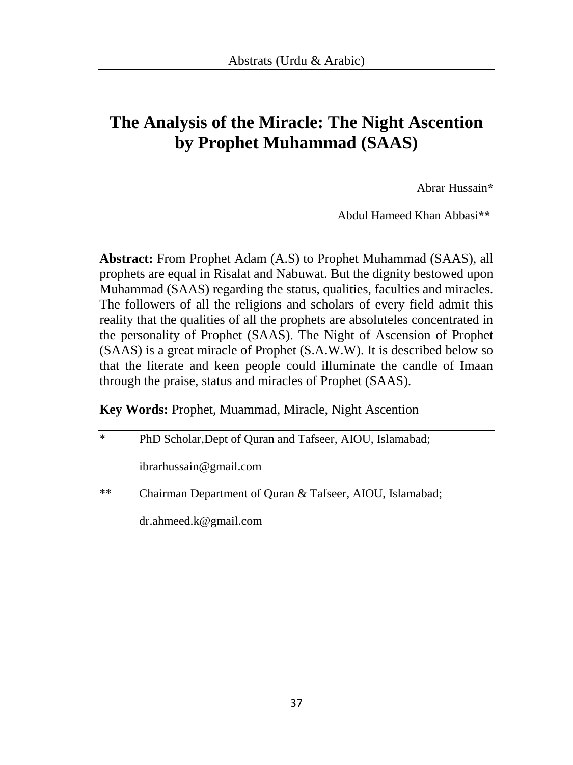## **The Analysis of the Miracle: The Night Ascention by Prophet Muhammad (SAAS)**

Abrar Hussain**\***

Abdul Hameed Khan Abbasi**\*\***

**Abstract:** From Prophet Adam (A.S) to Prophet Muhammad (SAAS), all prophets are equal in Risalat and Nabuwat. But the dignity bestowed upon Muhammad (SAAS) regarding the status, qualities, faculties and miracles. The followers of all the religions and scholars of every field admit this reality that the qualities of all the prophets are absoluteles concentrated in the personality of Prophet (SAAS). The Night of Ascension of Prophet (SAAS) is a great miracle of Prophet (S.A.W.W). It is described below so that the literate and keen people could illuminate the candle of Imaan through the praise, status and miracles of Prophet (SAAS).

#### **Key Words:** Prophet, Muammad, Miracle, Night Ascention

| $\ast$ | PhD Scholar, Dept of Quran and Tafseer, AIOU, Islamabad; |
|--------|----------------------------------------------------------|
|        | ibrarhussain@gmail.com                                   |
| $***$  | Chairman Department of Quran & Tafseer, AIOU, Islamabad; |
|        | $dr$ .ahmeed.k@gmail.com                                 |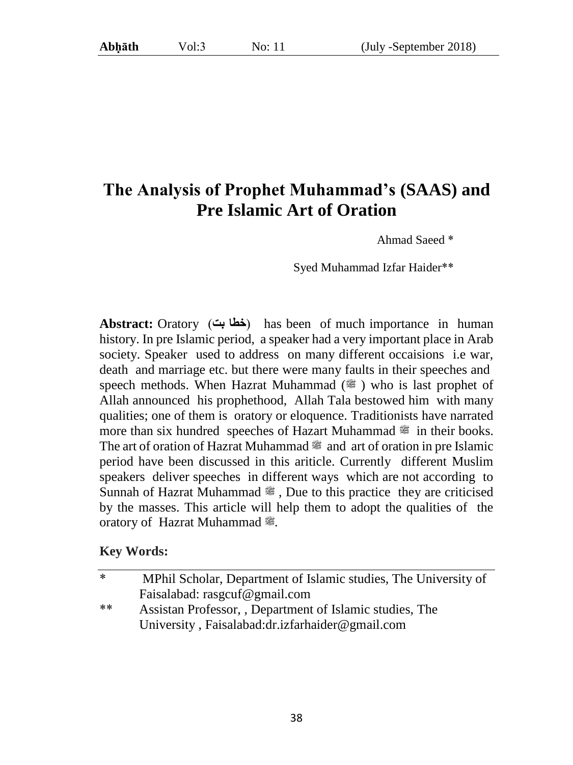## **The Analysis of Prophet Muhammad's (SAAS) and Pre Islamic Art of Oration**

Ahmad Saeed \*

Syed Muhammad Izfar Haider\*\*

**Abstract:** Oratory (خطابت) has been of much importance in human history. In pre Islamic period, a speaker had a very important place in Arab society. Speaker used to address on many different occaisions i.e war, death and marriage etc. but there were many faults in their speeches and speech methods. When Hazrat Muhammad  $(\frac{36}{10})$  who is last prophet of Allah announced his prophethood, Allah Tala bestowed him with many qualities; one of them is oratory or eloquence. Traditionists have narrated more than six hundred speeches of Hazart Muhammad  $\approx$  in their books. The art of oration of Hazrat Muhammad  $\mathcal{F}$  and art of oration in pre Islamic period have been discussed in this ariticle. Currently different Muslim speakers deliver speeches in different ways which are not according to Sunnah of Hazrat Muhammad  $\ddot{\mathcal{E}}$ , Due to this practice they are criticised by the masses. This article will help them to adopt the qualities of the oratory of Hazrat Muhammad 2.

#### **Key Words:**

| *  | MPhil Scholar, Department of Islamic studies, The University of |
|----|-----------------------------------------------------------------|
|    | Faisalabad: rasgcuf@gmail.com                                   |
| ** | Assistan Professor, Department of Islamic studies, The          |
|    | University, Faisalabad:dr.izfarhaider@gmail.com                 |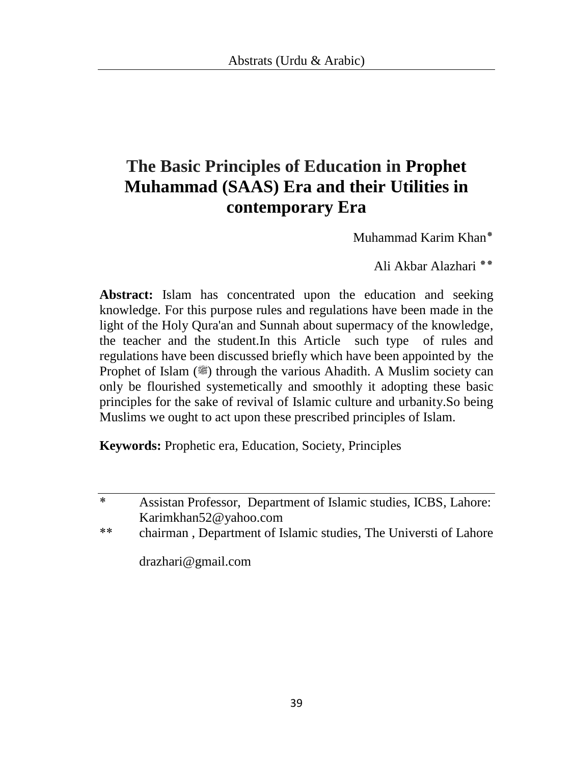# **The Basic Principles of Education in Prophet Muhammad (SAAS) Era and their Utilities in contemporary Era**

Muhammad Karim Khan٭

Ali Akbar Alazhari ٭٭

**Abstract:** Islam has concentrated upon the education and seeking knowledge. For this purpose rules and regulations have been made in the light of the Holy Qura'an and Sunnah about supermacy of the knowledge, the teacher and the student.In this Article such type of rules and regulations have been discussed briefly which have been appointed by the Prophet of Islam ( $\ddot{\mathcal{L}}$ ) through the various Ahadith. A Muslim society can only be flourished systemetically and smoothly it adopting these basic principles for the sake of revival of Islamic culture and urbanity.So being Muslims we ought to act upon these prescribed principles of Islam.

**Keywords:** Prophetic era, Education, Society, Principles

\* Assistan Professor, Department of Islamic studies, ICBS, Lahore: Karimkhan52@yahoo.com

\*\* chairman , Department of Islamic studies, The Universti of Lahore

drazhari@gmail.com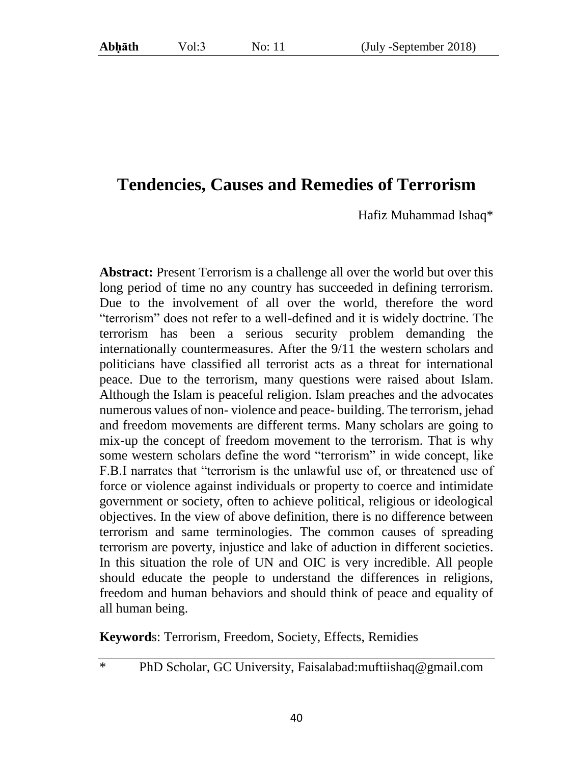#### **Tendencies, Causes and Remedies of Terrorism**

Hafiz Muhammad Ishaq\*

**Abstract:** Present Terrorism is a challenge all over the world but over this long period of time no any country has succeeded in defining terrorism. Due to the involvement of all over the world, therefore the word "terrorism" does not refer to a well-defined and it is widely doctrine. The terrorism has been a serious security problem demanding the internationally countermeasures. After the 9/11 the western scholars and politicians have classified all terrorist acts as a threat for international peace. Due to the terrorism, many questions were raised about Islam. Although the Islam is peaceful religion. Islam preaches and the advocates numerous values of non- violence and peace- building. The terrorism, jehad and freedom movements are different terms. Many scholars are going to mix-up the concept of freedom movement to the terrorism. That is why some western scholars define the word "terrorism" in wide concept, like F.B.I narrates that "terrorism is the unlawful use of, or threatened use of force or violence against individuals or property to coerce and intimidate government or society, often to achieve political, religious or ideological objectives. In the view of above definition, there is no difference between terrorism and same terminologies. The common causes of spreading terrorism are poverty, injustice and lake of aduction in different societies. In this situation the role of UN and OIC is very incredible. All people should educate the people to understand the differences in religions, freedom and human behaviors and should think of peace and equality of all human being.

**Keyword**s: Terrorism, Freedom, Society, Effects, Remidies

\* PhD Scholar, GC University, Faisalabad:muftiishaq@gmail.com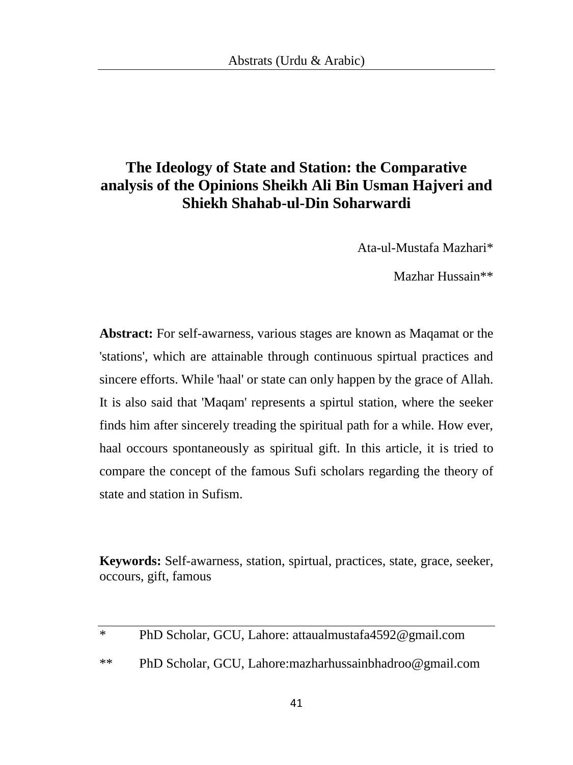### **The Ideology of State and Station: the Comparative analysis of the Opinions Sheikh Ali Bin Usman Hajveri and Shiekh Shahab-ul-Din Soharwardi**

Ata-ul-Mustafa Mazhari\*

Mazhar Hussain\*\*

**Abstract:** For self-awarness, various stages are known as Maqamat or the 'stations', which are attainable through continuous spirtual practices and sincere efforts. While 'haal' or state can only happen by the grace of Allah. It is also said that 'Maqam' represents a spirtul station, where the seeker finds him after sincerely treading the spiritual path for a while. How ever, haal occours spontaneously as spiritual gift. In this article, it is tried to compare the concept of the famous Sufi scholars regarding the theory of state and station in Sufism.

**Keywords:** Self-awarness, station, spirtual, practices, state, grace, seeker, occours, gift, famous

| $*$ | PhD Scholar, GCU, Lahore: attaualmustafa4592@gmail.com   |
|-----|----------------------------------------------------------|
| **  | PhD Scholar, GCU, Lahore: mazharhussainbhadroo@gmail.com |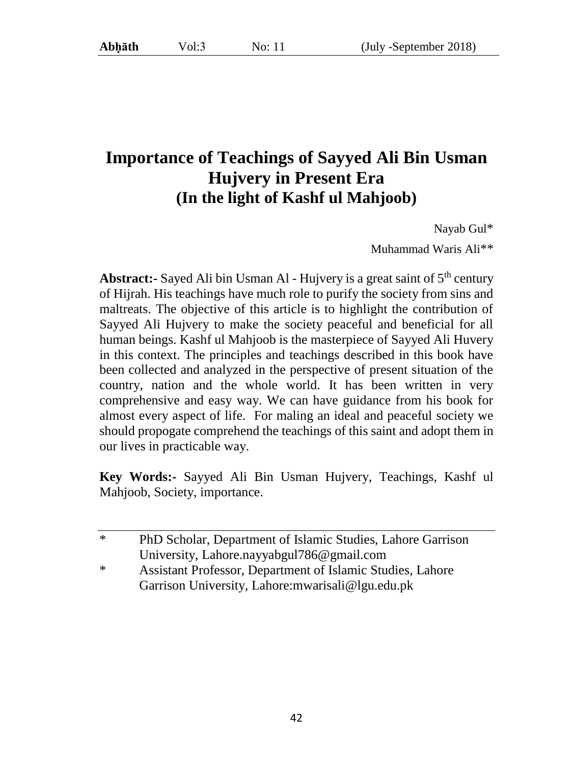## **Importance of Teachings of Sayyed Ali Bin Usman Hujvery in Present Era (In the light of Kashf ul Mahjoob)**

Nayab Gul\*

Muhammad Waris Ali\*\*

**Abstract:** Sayed Ali bin Usman Al - Hujvery is a great saint of 5<sup>th</sup> century of Hijrah. His teachings have much role to purify the society from sins and maltreats. The objective of this article is to highlight the contribution of Sayyed Ali Hujvery to make the society peaceful and beneficial for all human beings. Kashf ul Mahjoob is the masterpiece of Sayyed Ali Huvery in this context. The principles and teachings described in this book have been collected and analyzed in the perspective of present situation of the country, nation and the whole world. It has been written in very comprehensive and easy way. We can have guidance from his book for almost every aspect of life. For maling an ideal and peaceful society we should propogate comprehend the teachings of this saint and adopt them in our lives in practicable way.

**Key Words:-** Sayyed Ali Bin Usman Hujvery, Teachings, Kashf ul Mahjoob, Society, importance.

| $\ast$ | PhD Scholar, Department of Islamic Studies, Lahore Garrison |
|--------|-------------------------------------------------------------|
|        | University, Lahore.nayyabgul786@gmail.com                   |
| $\ast$ | Assistant Professor, Department of Islamic Studies, Lahore  |
|        | Garrison University, Lahore: mwarisali@lgu.edu.pk           |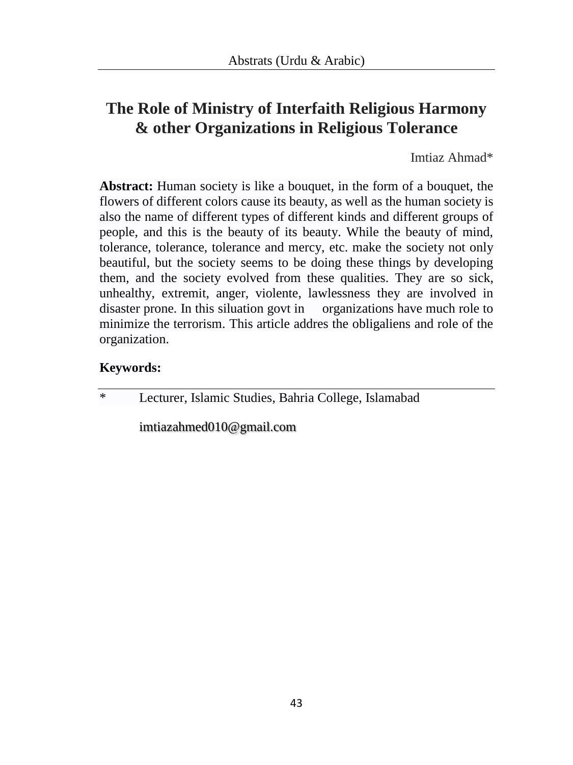## **The Role of Ministry of Interfaith Religious Harmony & other Organizations in Religious Tolerance**

Imtiaz Ahmad\*

**Abstract:** Human society is like a bouquet, in the form of a bouquet, the flowers of different colors cause its beauty, as well as the human society is also the name of different types of different kinds and different groups of people, and this is the beauty of its beauty. While the beauty of mind, tolerance, tolerance, tolerance and mercy, etc. make the society not only beautiful, but the society seems to be doing these things by developing them, and the society evolved from these qualities. They are so sick, unhealthy, extremit, anger, violente, lawlessness they are involved in disaster prone. In this siluation govt in organizations have much role to minimize the terrorism. This article addres the obligaliens and role of the organization.

#### **Keywords:**

\* Lecturer, Islamic Studies, Bahria College, Islamabad

[imtiazahmed010@gmail.com](mailto:imtiazahmed010@gmail.com)